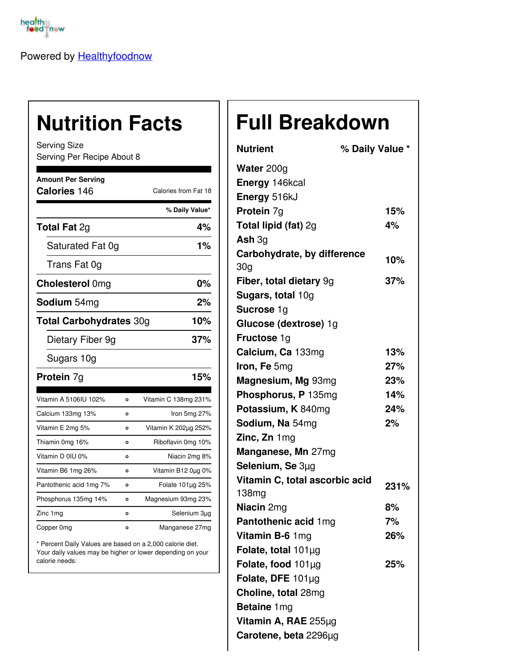

Powered by [Healthyfoodnow](https://healthyfoodnow.com)

## **Nutrition Facts**

Serving Size Serving Per Recipe About 8

| <b>Amount Per Serving</b><br>Calories 146 |         | Calories from Fat 18  |  |
|-------------------------------------------|---------|-----------------------|--|
|                                           |         | % Daily Value*        |  |
| <b>Total Fat 2g</b>                       |         | 4%                    |  |
| Saturated Fat 0g                          |         | 1%                    |  |
| Trans Fat 0g                              |         |                       |  |
| <b>Cholesterol Omg</b>                    |         | 0%                    |  |
| <b>Sodium</b> 54mg                        |         | 2%                    |  |
| <b>Total Carbohydrates 30g</b>            |         | 10%                   |  |
| Dietary Fiber 9g                          |         | 37%                   |  |
| Sugars 10g                                |         |                       |  |
| <b>Protein 7g</b>                         |         | 15%                   |  |
| Vitamin A 5106IU 102%                     | Ō       | Vitamin C 138mg 231%  |  |
| Calcium 133mg 13%                         | O       | Iron 5mg 27%          |  |
| Vitamin E 2mg 5%                          | O       | Vitamin K 202µg 252%  |  |
| Thiamin 0mg 16%                           | O       | Riboflavin 0mg 10%    |  |
| Vitamin D 0IU 0%                          | O       | Niacin 2mg 8%         |  |
| Vitamin B6 1mg 26%                        | O       | Vitamin B12 0µg 0%    |  |
| Pantothenic acid 1mg 7%                   | $\circ$ | Folate $101\mu$ g 25% |  |
| Phosphorus 135mg 14%                      | $\circ$ | Magnesium 93mg 23%    |  |
| Zinc 1mg                                  | O       | Selenium 3µg          |  |
| Copper 0mg                                | o       | Manganese 27mg        |  |

\* Percent Daily Values are based on a 2,000 calorie diet. Your daily values may be higher or lower depending on your calorie needs:

## **Full Breakdown**

| <b>Nutrient</b>                | % Daily Value * |
|--------------------------------|-----------------|
| Water 200g                     |                 |
| Energy 146kcal                 |                 |
| Energy 516kJ                   |                 |
| Protein 7g                     | 15%             |
| Total lipid (fat) 2g           | 4%              |
| Ash $3g$                       |                 |
| Carbohydrate, by difference    | 10%             |
| 30 <sub>g</sub>                |                 |
| Fiber, total dietary 9g        | 37%             |
| Sugars, total 10g              |                 |
| Sucrose 1g                     |                 |
| Glucose (dextrose) 1g          |                 |
| <b>Fructose 1g</b>             |                 |
| Calcium, Ca 133mg              | 13%             |
| Iron, Fe 5mg                   | 27%             |
| Magnesium, Mg 93mg             | 23%             |
| Phosphorus, P 135mg            | 14%             |
| Potassium, K 840mg             | 24%             |
| Sodium, Na 54mg                | 2%              |
| Zinc, Zn 1mg                   |                 |
| Manganese, Mn 27mg             |                 |
| Selenium, Se 3µg               |                 |
| Vitamin C, total ascorbic acid | 231%            |
| 138mg                          |                 |
| <b>Niacin</b> 2mg              | 8%              |
| Pantothenic acid 1mg           | 7%              |
| Vitamin B-6 1mg                | 26%             |
| Folate, total $101\mu$ g       |                 |
| Folate, food 101µg             | 25%             |
| Folate, DFE 101µg              |                 |
| Choline, total 28mg            |                 |
| Betaine 1mg                    |                 |
| Vitamin A, RAE 255µg           |                 |
| Carotene, beta 2296µg          |                 |